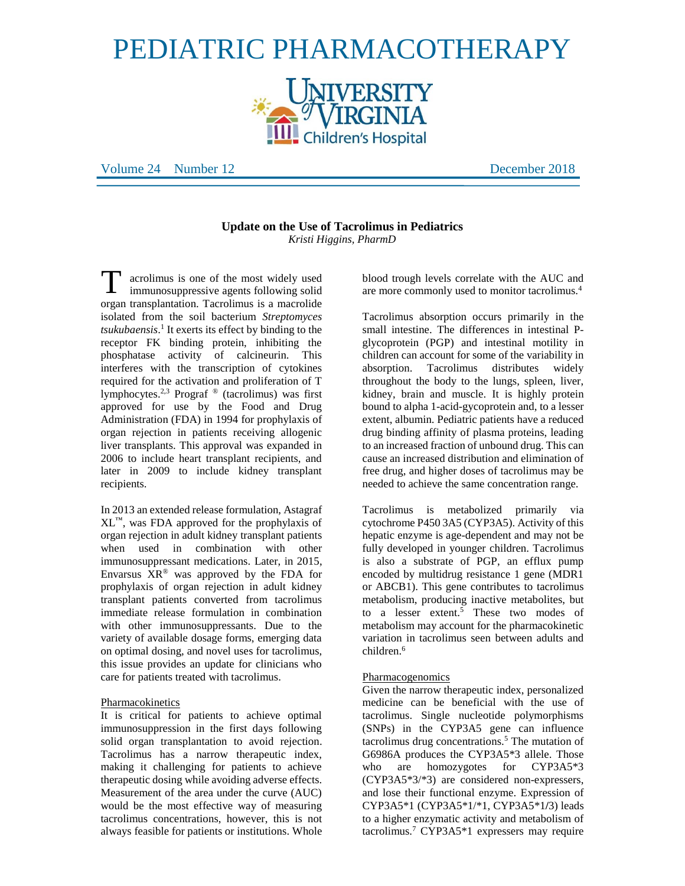# PEDIATRIC PHARMACOTHERAPY



Volume 24 Number 12 December 2018

# **Update on the Use of Tacrolimus in Pediatrics** *Kristi Higgins, PharmD*

acrolimus is one of the most widely used immunosuppressive agents following solid organ transplantation. Tacrolimus is a macrolide isolated from the soil bacterium *Streptomyces tsukubaensis*. 1 It exerts its effect by binding to the receptor FK binding protein, inhibiting the phosphatase activity of calcineurin. This interferes with the transcription of cytokines required for the activation and proliferation of T lymphocytes.<sup>2,3</sup> Prograf<sup>®</sup> (tacrolimus) was first approved for use by the Food and Drug Administration (FDA) in 1994 for prophylaxis of organ rejection in patients receiving allogenic liver transplants. This approval was expanded in 2006 to include heart transplant recipients, and later in 2009 to include kidney transplant recipients. T

In 2013 an extended release formulation, Astagraf  $XL^{\mathbb{N}}$ , was FDA approved for the prophylaxis of organ rejection in adult kidney transplant patients when used in combination with other immunosuppressant medications. Later, in 2015, Envarsus  $XR^{\circledast}$  was approved by the FDA for prophylaxis of organ rejection in adult kidney transplant patients converted from tacrolimus immediate release formulation in combination with other immunosuppressants. Due to the variety of available dosage forms, emerging data on optimal dosing, and novel uses for tacrolimus, this issue provides an update for clinicians who care for patients treated with tacrolimus.

## Pharmacokinetics

It is critical for patients to achieve optimal immunosuppression in the first days following solid organ transplantation to avoid rejection. Tacrolimus has a narrow therapeutic index, making it challenging for patients to achieve therapeutic dosing while avoiding adverse effects. Measurement of the area under the curve (AUC) would be the most effective way of measuring tacrolimus concentrations, however, this is not always feasible for patients or institutions. Whole

blood trough levels correlate with the AUC and are more commonly used to monitor tacrolimus.<sup>4</sup>

Tacrolimus absorption occurs primarily in the small intestine. The differences in intestinal Pglycoprotein (PGP) and intestinal motility in children can account for some of the variability in absorption. Tacrolimus distributes widely throughout the body to the lungs, spleen, liver, kidney, brain and muscle. It is highly protein bound to alpha 1-acid-gycoprotein and, to a lesser extent, albumin. Pediatric patients have a reduced drug binding affinity of plasma proteins, leading to an increased fraction of unbound drug. This can cause an increased distribution and elimination of free drug, and higher doses of tacrolimus may be needed to achieve the same concentration range.

Tacrolimus is metabolized primarily via cytochrome P450 3A5 (CYP3A5). Activity of this hepatic enzyme is age-dependent and may not be fully developed in younger children. Tacrolimus is also a substrate of PGP, an efflux pump encoded by multidrug resistance 1 gene (MDR1 or ABCB1). This gene contributes to tacrolimus metabolism, producing inactive metabolites, but to a lesser extent.<sup>5</sup> These two modes of metabolism may account for the pharmacokinetic variation in tacrolimus seen between adults and children.<sup>6</sup>

#### Pharmacogenomics

Given the narrow therapeutic index, personalized medicine can be beneficial with the use of tacrolimus. Single nucleotide polymorphisms (SNPs) in the CYP3A5 gene can influence tacrolimus drug concentrations.<sup>5</sup> The mutation of G6986A produces the CYP3A5\*3 allele. Those who are homozygotes for CYP3A5<sup>\*3</sup> (CYP3A5\*3/\*3) are considered non-expressers, and lose their functional enzyme. Expression of CYP3A5\*1 (CYP3A5\*1/\*1, CYP3A5\*1**/**3) leads to a higher enzymatic activity and metabolism of tacrolimus.<sup>7</sup> CYP3A5\*1 expressers may require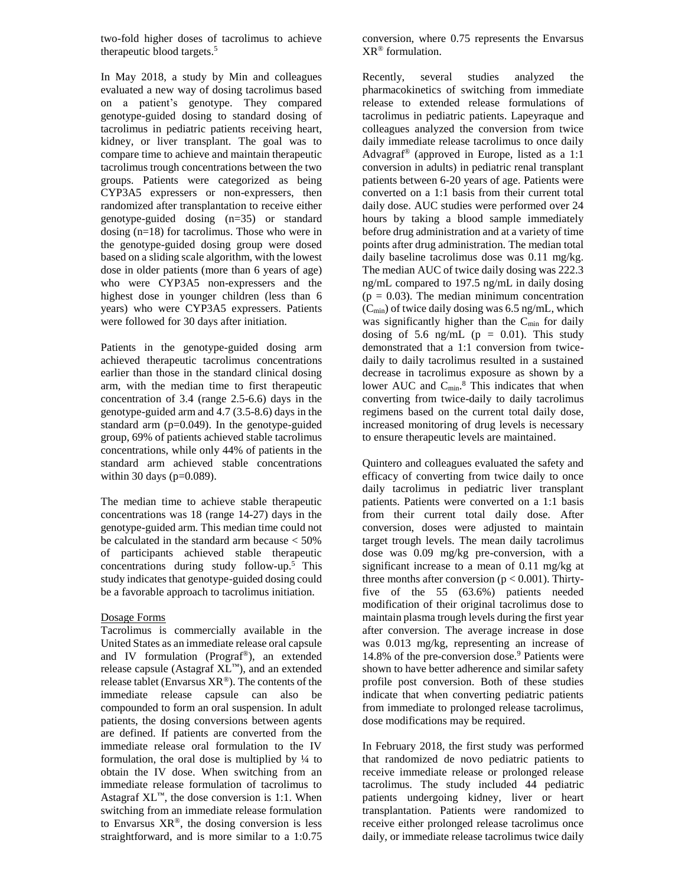two-fold higher doses of tacrolimus to achieve therapeutic blood targets. 5

In May 2018, a study by Min and colleagues evaluated a new way of dosing tacrolimus based on a patient's genotype. They compared genotype-guided dosing to standard dosing of tacrolimus in pediatric patients receiving heart, kidney, or liver transplant. The goal was to compare time to achieve and maintain therapeutic tacrolimus trough concentrations between the two groups. Patients were categorized as being CYP3A5 expressers or non-expressers, then randomized after transplantation to receive either genotype-guided dosing (n=35) or standard dosing (n=18) for tacrolimus. Those who were in the genotype-guided dosing group were dosed based on a sliding scale algorithm, with the lowest dose in older patients (more than 6 years of age) who were CYP3A5 non-expressers and the highest dose in younger children (less than 6 years) who were CYP3A5 expressers. Patients were followed for 30 days after initiation.

Patients in the genotype-guided dosing arm achieved therapeutic tacrolimus concentrations earlier than those in the standard clinical dosing arm, with the median time to first therapeutic concentration of 3.4 (range 2.5-6.6) days in the genotype-guided arm and 4.7 (3.5-8.6) days in the standard arm  $(p=0.049)$ . In the genotype-guided group, 69% of patients achieved stable tacrolimus concentrations, while only 44% of patients in the standard arm achieved stable concentrations within 30 days ( $p=0.089$ ).

The median time to achieve stable therapeutic concentrations was 18 (range 14-27) days in the genotype-guided arm. This median time could not be calculated in the standard arm because < 50% of participants achieved stable therapeutic concentrations during study follow-up.<sup>5</sup> This study indicates that genotype-guided dosing could be a favorable approach to tacrolimus initiation.

## Dosage Forms

Tacrolimus is commercially available in the United States as an immediate release oral capsule and IV formulation (Prograf®), an extended release capsule (Astagraf XL™), and an extended release tablet (Envarsus  $XR^{\circledast}$ ). The contents of the immediate release capsule can also be compounded to form an oral suspension. In adult patients, the dosing conversions between agents are defined. If patients are converted from the immediate release oral formulation to the IV formulation, the oral dose is multiplied by  $\frac{1}{4}$  to obtain the IV dose. When switching from an immediate release formulation of tacrolimus to Astagraf  $XL^m$ , the dose conversion is 1:1. When switching from an immediate release formulation to Envarsus  $XR^{\circledast}$ , the dosing conversion is less straightforward, and is more similar to a 1:0.75

conversion, where 0.75 represents the Envarsus XR® formulation.

Recently, several studies analyzed the pharmacokinetics of switching from immediate release to extended release formulations of tacrolimus in pediatric patients. Lapeyraque and colleagues analyzed the conversion from twice daily immediate release tacrolimus to once daily Advagraf® (approved in Europe, listed as a 1:1 conversion in adults) in pediatric renal transplant patients between 6-20 years of age. Patients were converted on a 1:1 basis from their current total daily dose. AUC studies were performed over 24 hours by taking a blood sample immediately before drug administration and at a variety of time points after drug administration. The median total daily baseline tacrolimus dose was 0.11 mg/kg. The median AUC of twice daily dosing was 222.3 ng/mL compared to 197.5 ng/mL in daily dosing  $(p = 0.03)$ . The median minimum concentration  $(C_{\text{min}})$  of twice daily dosing was 6.5 ng/mL, which was significantly higher than the  $C_{\text{min}}$  for daily dosing of 5.6 ng/mL  $(p = 0.01)$ . This study demonstrated that a 1:1 conversion from twicedaily to daily tacrolimus resulted in a sustained decrease in tacrolimus exposure as shown by a lower AUC and  $C_{min}$ .<sup>8</sup> This indicates that when converting from twice-daily to daily tacrolimus regimens based on the current total daily dose, increased monitoring of drug levels is necessary to ensure therapeutic levels are maintained.

Quintero and colleagues evaluated the safety and efficacy of converting from twice daily to once daily tacrolimus in pediatric liver transplant patients. Patients were converted on a 1:1 basis from their current total daily dose. After conversion, doses were adjusted to maintain target trough levels. The mean daily tacrolimus dose was 0.09 mg/kg pre-conversion, with a significant increase to a mean of 0.11 mg/kg at three months after conversion ( $p < 0.001$ ). Thirtyfive of the 55 (63.6%) patients needed modification of their original tacrolimus dose to maintain plasma trough levels during the first year after conversion. The average increase in dose was 0.013 mg/kg, representing an increase of  $14.8\%$  of the pre-conversion dose.<sup>9</sup> Patients were shown to have better adherence and similar safety profile post conversion. Both of these studies indicate that when converting pediatric patients from immediate to prolonged release tacrolimus, dose modifications may be required.

In February 2018, the first study was performed that randomized de novo pediatric patients to receive immediate release or prolonged release tacrolimus. The study included 44 pediatric patients undergoing kidney, liver or heart transplantation. Patients were randomized to receive either prolonged release tacrolimus once daily, or immediate release tacrolimus twice daily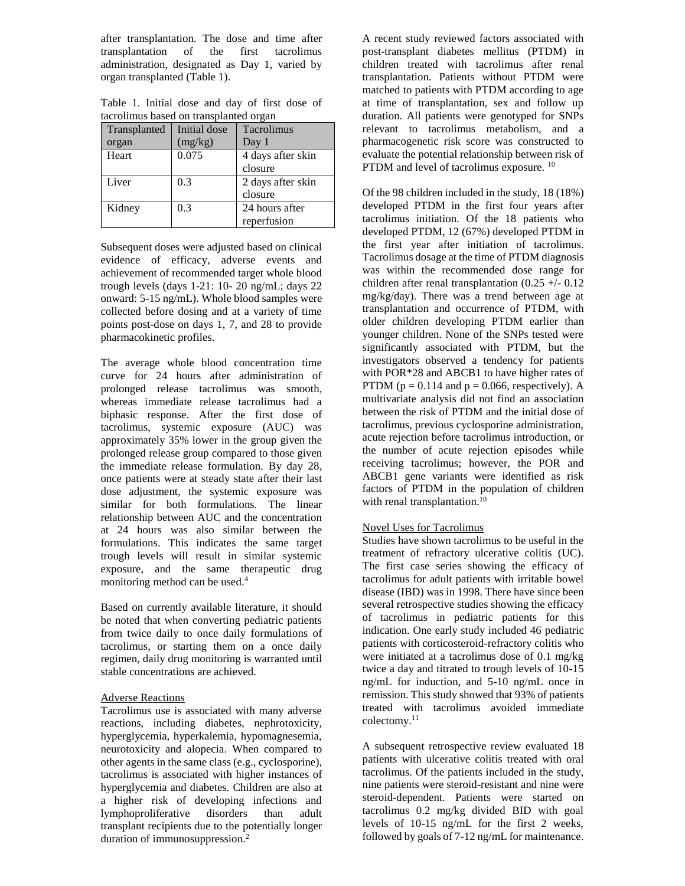after transplantation. The dose and time after transplantation of the first tacrolimus administration, designated as Day 1, varied by organ transplanted (Table 1).

Table 1. Initial dose and day of first dose of tacrolimus based on transplanted organ

| Transplanted | Initial dose | Tacrolimus        |
|--------------|--------------|-------------------|
| organ        | (mg/kg)      | Day 1             |
| Heart        | 0.075        | 4 days after skin |
|              |              | closure           |
| Liver        | 0.3          | 2 days after skin |
|              |              | closure           |
| Kidney       | 0.3          | 24 hours after    |
|              |              | reperfusion       |

Subsequent doses were adjusted based on clinical evidence of efficacy, adverse events and achievement of recommended target whole blood trough levels (days 1-21: 10- 20 ng/mL; days 22 onward: 5-15 ng/mL). Whole blood samples were collected before dosing and at a variety of time points post-dose on days 1, 7, and 28 to provide pharmacokinetic profiles.

The average whole blood concentration time curve for 24 hours after administration of prolonged release tacrolimus was smooth, whereas immediate release tacrolimus had a biphasic response. After the first dose of tacrolimus, systemic exposure (AUC) was approximately 35% lower in the group given the prolonged release group compared to those given the immediate release formulation. By day 28, once patients were at steady state after their last dose adjustment, the systemic exposure was similar for both formulations. The linear relationship between AUC and the concentration at 24 hours was also similar between the formulations. This indicates the same target trough levels will result in similar systemic exposure, and the same therapeutic drug monitoring method can be used.<sup>4</sup>

Based on currently available literature, it should be noted that when converting pediatric patients from twice daily to once daily formulations of tacrolimus, or starting them on a once daily regimen, daily drug monitoring is warranted until stable concentrations are achieved.

# Adverse Reactions

Tacrolimus use is associated with many adverse reactions, including diabetes, nephrotoxicity, hyperglycemia, hyperkalemia, hypomagnesemia, neurotoxicity and alopecia. When compared to other agents in the same class (e.g., cyclosporine), tacrolimus is associated with higher instances of hyperglycemia and diabetes. Children are also at a higher risk of developing infections and lymphoproliferative disorders than adult transplant recipients due to the potentially longer duration of immunosuppression.<sup>2</sup>

A recent study reviewed factors associated with post-transplant diabetes mellitus (PTDM) in children treated with tacrolimus after renal transplantation. Patients without PTDM were matched to patients with PTDM according to age at time of transplantation, sex and follow up duration. All patients were genotyped for SNPs relevant to tacrolimus metabolism, and a pharmacogenetic risk score was constructed to evaluate the potential relationship between risk of PTDM and level of tacrolimus exposure. <sup>10</sup>

Of the 98 children included in the study, 18 (18%) developed PTDM in the first four years after tacrolimus initiation. Of the 18 patients who developed PTDM, 12 (67%) developed PTDM in the first year after initiation of tacrolimus. Tacrolimus dosage at the time of PTDM diagnosis was within the recommended dose range for children after renal transplantation  $(0.25 +/- 0.12)$ mg/kg/day). There was a trend between age at transplantation and occurrence of PTDM, with older children developing PTDM earlier than younger children. None of the SNPs tested were significantly associated with PTDM, but the investigators observed a tendency for patients with POR\*28 and ABCB1 to have higher rates of PTDM ( $p = 0.114$  and  $p = 0.066$ , respectively). A multivariate analysis did not find an association between the risk of PTDM and the initial dose of tacrolimus, previous cyclosporine administration, acute rejection before tacrolimus introduction, or the number of acute rejection episodes while receiving tacrolimus; however, the POR and ABCB1 gene variants were identified as risk factors of PTDM in the population of children with renal transplantation.<sup>10</sup>

## Novel Uses for Tacrolimus

Studies have shown tacrolimus to be useful in the treatment of refractory ulcerative colitis (UC). The first case series showing the efficacy of tacrolimus for adult patients with irritable bowel disease (IBD) was in 1998. There have since been several retrospective studies showing the efficacy of tacrolimus in pediatric patients for this indication. One early study included 46 pediatric patients with corticosteroid-refractory colitis who were initiated at a tacrolimus dose of 0.1 mg/kg twice a day and titrated to trough levels of 10-15 ng/mL for induction, and 5-10 ng/mL once in remission. This study showed that 93% of patients treated with tacrolimus avoided immediate colectomy.<sup>11</sup>

A subsequent retrospective review evaluated 18 patients with ulcerative colitis treated with oral tacrolimus. Of the patients included in the study, nine patients were steroid-resistant and nine were steroid-dependent. Patients were started on tacrolimus 0.2 mg/kg divided BID with goal levels of 10-15 ng/mL for the first 2 weeks, followed by goals of 7-12 ng/mL for maintenance.